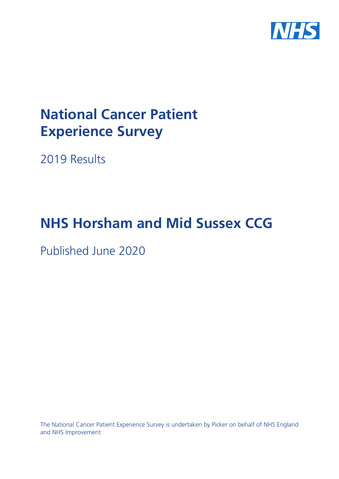

# **National Cancer Patient Experience Survey**

2019 Results

# **NHS Horsham and Mid Sussex CCG**

Published June 2020

The National Cancer Patient Experience Survey is undertaken by Picker on behalf of NHS England and NHS Improvement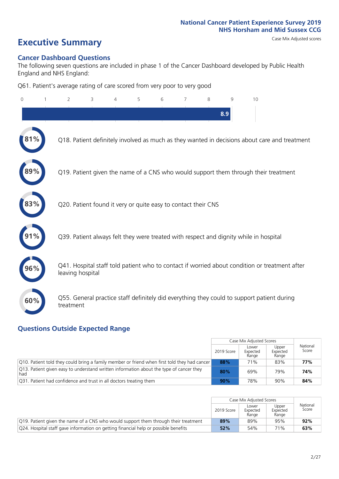# **Executive Summary** Case Mix Adjusted scores

#### **Cancer Dashboard Questions**

The following seven questions are included in phase 1 of the Cancer Dashboard developed by Public Health England and NHS England:

Q61. Patient's average rating of care scored from very poor to very good

| $\Omega$ | $\overline{2}$                                                | 3 | $\Delta$ | 5 | 6 | $\overline{7}$ | 8 | 9   | 10                                                                                            |  |
|----------|---------------------------------------------------------------|---|----------|---|---|----------------|---|-----|-----------------------------------------------------------------------------------------------|--|
|          |                                                               |   |          |   |   |                |   | 8.9 |                                                                                               |  |
| $1\%$    |                                                               |   |          |   |   |                |   |     | Q18. Patient definitely involved as much as they wanted in decisions about care and treatment |  |
|          |                                                               |   |          |   |   |                |   |     | Q19. Patient given the name of a CNS who would support them through their treatment           |  |
| 83%      | Q20. Patient found it very or quite easy to contact their CNS |   |          |   |   |                |   |     |                                                                                               |  |
|          |                                                               |   |          |   |   |                |   |     | Q39. Patient always felt they were treated with respect and dignity while in hospital         |  |
| 96%      | leaving hospital                                              |   |          |   |   |                |   |     | Q41. Hospital staff told patient who to contact if worried about condition or treatment after |  |
| 60%      | treatment                                                     |   |          |   |   |                |   |     | Q55. General practice staff definitely did everything they could to support patient during    |  |

### **Questions Outside Expected Range**

|                                                                                                |            | Case Mix Adjusted Scores   |                            |                   |
|------------------------------------------------------------------------------------------------|------------|----------------------------|----------------------------|-------------------|
|                                                                                                | 2019 Score | Lower<br>Expected<br>Range | Upper<br>Expected<br>Range | National<br>Score |
| Q10. Patient told they could bring a family member or friend when first told they had cancer   | 88%        | 71%                        | 83%                        | 77%               |
| Q13. Patient given easy to understand written information about the type of cancer they<br>had | 80%        | 69%                        | 79%                        | 74%               |
| Q31. Patient had confidence and trust in all doctors treating them                             | 90%        | 78%                        | 90%                        | 84%               |

|                                                                                     |            | Case Mix Adjusted Scores   |                            |                   |
|-------------------------------------------------------------------------------------|------------|----------------------------|----------------------------|-------------------|
|                                                                                     | 2019 Score | Lower<br>Expected<br>Range | Upper<br>Expected<br>Range | National<br>Score |
| Q19. Patient given the name of a CNS who would support them through their treatment | 89%        | 89%                        | 95%                        | 92%               |
| Q24. Hospital staff gave information on getting financial help or possible benefits | 52%        | 54%                        | 71%                        | 63%               |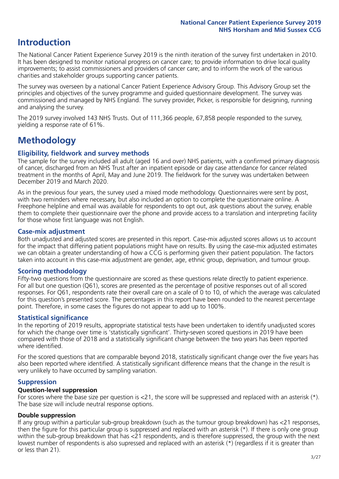## **Introduction**

The National Cancer Patient Experience Survey 2019 is the ninth iteration of the survey first undertaken in 2010. It has been designed to monitor national progress on cancer care; to provide information to drive local quality improvements; to assist commissioners and providers of cancer care; and to inform the work of the various charities and stakeholder groups supporting cancer patients.

The survey was overseen by a national Cancer Patient Experience Advisory Group. This Advisory Group set the principles and objectives of the survey programme and guided questionnaire development. The survey was commissioned and managed by NHS England. The survey provider, Picker, is responsible for designing, running and analysing the survey.

The 2019 survey involved 143 NHS Trusts. Out of 111,366 people, 67,858 people responded to the survey, yielding a response rate of 61%.

# **Methodology**

#### **Eligibility, fieldwork and survey methods**

The sample for the survey included all adult (aged 16 and over) NHS patients, with a confirmed primary diagnosis of cancer, discharged from an NHS Trust after an inpatient episode or day case attendance for cancer related treatment in the months of April, May and June 2019. The fieldwork for the survey was undertaken between December 2019 and March 2020.

As in the previous four years, the survey used a mixed mode methodology. Questionnaires were sent by post, with two reminders where necessary, but also included an option to complete the questionnaire online. A Freephone helpline and email was available for respondents to opt out, ask questions about the survey, enable them to complete their questionnaire over the phone and provide access to a translation and interpreting facility for those whose first language was not English.

#### **Case-mix adjustment**

Both unadjusted and adjusted scores are presented in this report. Case-mix adjusted scores allows us to account for the impact that differing patient populations might have on results. By using the case-mix adjusted estimates we can obtain a greater understanding of how a CCG is performing given their patient population. The factors taken into account in this case-mix adjustment are gender, age, ethnic group, deprivation, and tumour group.

#### **Scoring methodology**

Fifty-two questions from the questionnaire are scored as these questions relate directly to patient experience. For all but one question (Q61), scores are presented as the percentage of positive responses out of all scored responses. For Q61, respondents rate their overall care on a scale of 0 to 10, of which the average was calculated for this question's presented score. The percentages in this report have been rounded to the nearest percentage point. Therefore, in some cases the figures do not appear to add up to 100%.

#### **Statistical significance**

In the reporting of 2019 results, appropriate statistical tests have been undertaken to identify unadjusted scores for which the change over time is 'statistically significant'. Thirty-seven scored questions in 2019 have been compared with those of 2018 and a statistically significant change between the two years has been reported where identified.

For the scored questions that are comparable beyond 2018, statistically significant change over the five years has also been reported where identified. A statistically significant difference means that the change in the result is very unlikely to have occurred by sampling variation.

#### **Suppression**

#### **Question-level suppression**

For scores where the base size per question is  $<$ 21, the score will be suppressed and replaced with an asterisk (\*). The base size will include neutral response options.

#### **Double suppression**

If any group within a particular sub-group breakdown (such as the tumour group breakdown) has <21 responses, then the figure for this particular group is suppressed and replaced with an asterisk (\*). If there is only one group within the sub-group breakdown that has <21 respondents, and is therefore suppressed, the group with the next lowest number of respondents is also supressed and replaced with an asterisk (\*) (regardless if it is greater than or less than 21).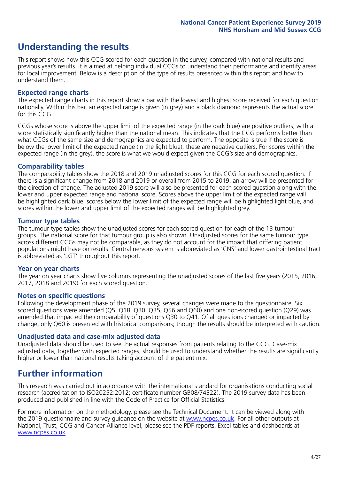# **Understanding the results**

This report shows how this CCG scored for each question in the survey, compared with national results and previous year's results. It is aimed at helping individual CCGs to understand their performance and identify areas for local improvement. Below is a description of the type of results presented within this report and how to understand them.

#### **Expected range charts**

The expected range charts in this report show a bar with the lowest and highest score received for each question nationally. Within this bar, an expected range is given (in grey) and a black diamond represents the actual score for this CCG.

CCGs whose score is above the upper limit of the expected range (in the dark blue) are positive outliers, with a score statistically significantly higher than the national mean. This indicates that the CCG performs better than what CCGs of the same size and demographics are expected to perform. The opposite is true if the score is below the lower limit of the expected range (in the light blue); these are negative outliers. For scores within the expected range (in the grey), the score is what we would expect given the CCG's size and demographics.

#### **Comparability tables**

The comparability tables show the 2018 and 2019 unadjusted scores for this CCG for each scored question. If there is a significant change from 2018 and 2019 or overall from 2015 to 2019, an arrow will be presented for the direction of change. The adjusted 2019 score will also be presented for each scored question along with the lower and upper expected range and national score. Scores above the upper limit of the expected range will be highlighted dark blue, scores below the lower limit of the expected range will be highlighted light blue, and scores within the lower and upper limit of the expected ranges will be highlighted grey.

#### **Tumour type tables**

The tumour type tables show the unadjusted scores for each scored question for each of the 13 tumour groups. The national score for that tumour group is also shown. Unadjusted scores for the same tumour type across different CCGs may not be comparable, as they do not account for the impact that differing patient populations might have on results. Central nervous system is abbreviated as 'CNS' and lower gastrointestinal tract is abbreviated as 'LGT' throughout this report.

#### **Year on year charts**

The year on year charts show five columns representing the unadjusted scores of the last five years (2015, 2016, 2017, 2018 and 2019) for each scored question.

#### **Notes on specific questions**

Following the development phase of the 2019 survey, several changes were made to the questionnaire. Six scored questions were amended (Q5, Q18, Q30, Q35, Q56 and Q60) and one non-scored question (Q29) was amended that impacted the comparability of questions Q30 to Q41. Of all questions changed or impacted by change, only Q60 is presented with historical comparisons; though the results should be interpreted with caution.

#### **Unadjusted data and case-mix adjusted data**

Unadjusted data should be used to see the actual responses from patients relating to the CCG. Case-mix adjusted data, together with expected ranges, should be used to understand whether the results are significantly higher or lower than national results taking account of the patient mix.

### **Further information**

This research was carried out in accordance with the international standard for organisations conducting social research (accreditation to ISO20252:2012; certificate number GB08/74322). The 2019 survey data has been produced and published in line with the Code of Practice for Official Statistics.

For more information on the methodology, please see the Technical Document. It can be viewed along with the 2019 questionnaire and survey quidance on the website at [www.ncpes.co.uk](https://www.ncpes.co.uk/supporting-documents). For all other outputs at National, Trust, CCG and Cancer Alliance level, please see the PDF reports, Excel tables and dashboards at [www.ncpes.co.uk.](https://www.ncpes.co.uk/current-results)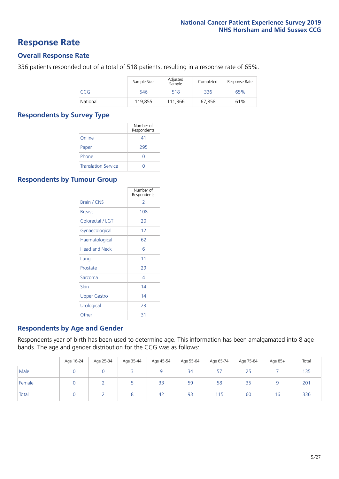### **Response Rate**

#### **Overall Response Rate**

336 patients responded out of a total of 518 patients, resulting in a response rate of 65%.

|          | Sample Size | Adjusted<br>Sample | Completed | Response Rate |
|----------|-------------|--------------------|-----------|---------------|
| CCG      | 546         | 518                | 336       | 65%           |
| National | 119,855     | 111,366            | 67.858    | 61%           |

#### **Respondents by Survey Type**

|                            | Number of<br>Respondents |
|----------------------------|--------------------------|
| Online                     | 41                       |
| Paper                      | 295                      |
| Phone                      | $\left( \right)$         |
| <b>Translation Service</b> |                          |

#### **Respondents by Tumour Group**

|                      | Number of<br>Respondents |
|----------------------|--------------------------|
| <b>Brain / CNS</b>   | $\mathcal{P}$            |
| <b>Breast</b>        | 108                      |
| Colorectal / LGT     | 20                       |
| Gynaecological       | 12                       |
| Haematological       | 62                       |
| <b>Head and Neck</b> | 6                        |
| Lung                 | 11                       |
| Prostate             | 29                       |
| Sarcoma              | 4                        |
| Skin                 | 14                       |
| <b>Upper Gastro</b>  | 14                       |
| Urological           | 23                       |
| Other                | 31                       |

#### **Respondents by Age and Gender**

Respondents year of birth has been used to determine age. This information has been amalgamated into 8 age bands. The age and gender distribution for the CCG was as follows:

|        | Age 16-24 | Age 25-34 | Age 35-44 | Age 45-54 | Age 55-64 | Age 65-74 | Age 75-84 | Age 85+ | Total |
|--------|-----------|-----------|-----------|-----------|-----------|-----------|-----------|---------|-------|
| Male   |           |           |           |           | 34        | -57       | 25        |         | 135   |
| Female |           |           |           | 33        | 59        | 58        | 35        |         | 201   |
| Total  |           |           |           | 42        | 93        | 115       | 60        | 16      | 336   |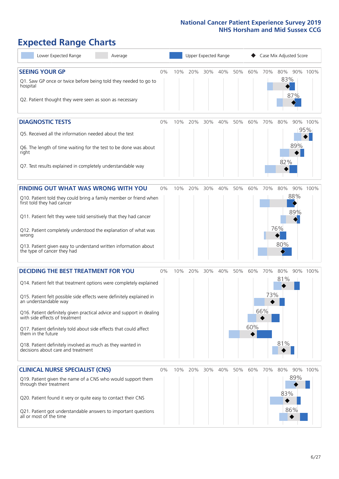# **Expected Range Charts**

| Lower Expected Range<br>Average                                                                                                                                                                                                                                                                                                                                                                                                                                                                                             |       |     | Upper Expected Range |     |     |     |            |                   | Case Mix Adjusted Score |                   |                 |
|-----------------------------------------------------------------------------------------------------------------------------------------------------------------------------------------------------------------------------------------------------------------------------------------------------------------------------------------------------------------------------------------------------------------------------------------------------------------------------------------------------------------------------|-------|-----|----------------------|-----|-----|-----|------------|-------------------|-------------------------|-------------------|-----------------|
| <b>SEEING YOUR GP</b><br>Q1. Saw GP once or twice before being told they needed to go to<br>hospital<br>Q2. Patient thought they were seen as soon as necessary                                                                                                                                                                                                                                                                                                                                                             | $0\%$ | 10% | 20%                  | 30% | 40% | 50% | 60%        | 70%               | 80%<br>83%              | 87%               | 90% 100%        |
| <b>DIAGNOSTIC TESTS</b><br>Q5. Received all the information needed about the test<br>Q6. The length of time waiting for the test to be done was about<br>right<br>Q7. Test results explained in completely understandable way                                                                                                                                                                                                                                                                                               | 0%    | 10% | 20%                  | 30% | 40% | 50% | 60%        | 70%               | 80%<br>82%              | 89%               | 90% 100%<br>95% |
| <b>FINDING OUT WHAT WAS WRONG WITH YOU</b><br>Q10. Patient told they could bring a family member or friend when<br>first told they had cancer<br>Q11. Patient felt they were told sensitively that they had cancer<br>Q12. Patient completely understood the explanation of what was<br>wrong<br>Q13. Patient given easy to understand written information about<br>the type of cancer they had                                                                                                                             | $0\%$ | 10% | 20%                  | 30% | 40% | 50% | 60%        | 70%               | 80%<br>76%<br>80%       | 88%<br>89%        | 90% 100%        |
| <b>DECIDING THE BEST TREATMENT FOR YOU</b><br>Q14. Patient felt that treatment options were completely explained<br>Q15. Patient felt possible side effects were definitely explained in<br>an understandable way<br>Q16. Patient definitely given practical advice and support in dealing<br>with side effects of treatment<br>Q17. Patient definitely told about side effects that could affect<br>them in the future<br>Q18. Patient definitely involved as much as they wanted in<br>decisions about care and treatment | $0\%$ | 10% | 20%                  | 30% | 40% | 50% | 60%<br>60% | 70%<br>73%<br>66% | 80%<br>81%<br>81%       |                   | 90% 100%        |
| <b>CLINICAL NURSE SPECIALIST (CNS)</b><br>Q19. Patient given the name of a CNS who would support them<br>through their treatment<br>Q20. Patient found it very or quite easy to contact their CNS<br>Q21. Patient got understandable answers to important questions<br>all or most of the time                                                                                                                                                                                                                              | $0\%$ | 10% | 20%                  | 30% | 40% | 50% | 60%        | 70%               | 80%<br>83%              | 90%<br>89%<br>86% | 100%            |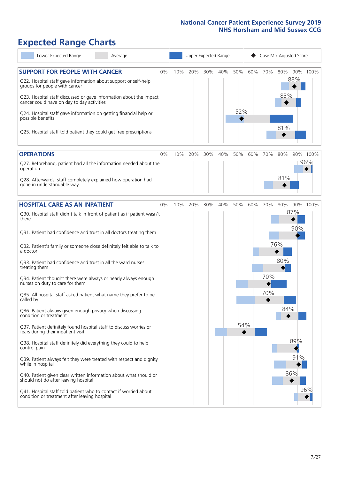# **Expected Range Charts**

| Lower Expected Range<br>Average                                                                                                                                                                                                                                                                                                                                                                                                                                                                                                                                                                                                                                                                                                                                                                                                                                                                                                                                                                                                                                                          |              |     | Upper Expected Range |            |     |            | Case Mix Adjusted Score                              |     |
|------------------------------------------------------------------------------------------------------------------------------------------------------------------------------------------------------------------------------------------------------------------------------------------------------------------------------------------------------------------------------------------------------------------------------------------------------------------------------------------------------------------------------------------------------------------------------------------------------------------------------------------------------------------------------------------------------------------------------------------------------------------------------------------------------------------------------------------------------------------------------------------------------------------------------------------------------------------------------------------------------------------------------------------------------------------------------------------|--------------|-----|----------------------|------------|-----|------------|------------------------------------------------------|-----|
| <b>SUPPORT FOR PEOPLE WITH CANCER</b><br>Q22. Hospital staff gave information about support or self-help<br>groups for people with cancer<br>Q23. Hospital staff discussed or gave information about the impact<br>cancer could have on day to day activities<br>Q24. Hospital staff gave information on getting financial help or<br>possible benefits<br>Q25. Hospital staff told patient they could get free prescriptions                                                                                                                                                                                                                                                                                                                                                                                                                                                                                                                                                                                                                                                            | $0\%$<br>10% | 20% | 30%<br>40%           | 50%<br>52% | 60% | 70%        | 80%<br>90% 100%<br>88%<br>83%<br>81%                 |     |
| <b>OPERATIONS</b>                                                                                                                                                                                                                                                                                                                                                                                                                                                                                                                                                                                                                                                                                                                                                                                                                                                                                                                                                                                                                                                                        | $0\%$<br>10% | 20% | 40%<br>30%           | 50%        | 60% | 70%        | 80%<br>90% 100%                                      |     |
| Q27. Beforehand, patient had all the information needed about the<br>operation<br>Q28. Afterwards, staff completely explained how operation had<br>gone in understandable way                                                                                                                                                                                                                                                                                                                                                                                                                                                                                                                                                                                                                                                                                                                                                                                                                                                                                                            |              |     |                      |            |     |            | 81%                                                  | 96% |
| <b>HOSPITAL CARE AS AN INPATIENT</b>                                                                                                                                                                                                                                                                                                                                                                                                                                                                                                                                                                                                                                                                                                                                                                                                                                                                                                                                                                                                                                                     | $0\%$<br>10% | 20% | 40%<br>30%           | 50%        | 60% | 70%        | 80%<br>90% 100%                                      |     |
| Q30. Hospital staff didn't talk in front of patient as if patient wasn't<br>there<br>Q31. Patient had confidence and trust in all doctors treating them<br>Q32. Patient's family or someone close definitely felt able to talk to<br>a doctor<br>Q33. Patient had confidence and trust in all the ward nurses<br>treating them<br>Q34. Patient thought there were always or nearly always enough<br>nurses on duty to care for them<br>Q35. All hospital staff asked patient what name they prefer to be<br>called by<br>Q36. Patient always given enough privacy when discussing<br>condition or treatment<br>Q37. Patient definitely found hospital staff to discuss worries or<br>fears during their inpatient visit<br>Q38. Hospital staff definitely did everything they could to help<br>control pain<br>Q39. Patient always felt they were treated with respect and dignity<br>while in hospital<br>Q40. Patient given clear written information about what should or<br>should not do after leaving hospital<br>Q41. Hospital staff told patient who to contact if worried about |              |     |                      |            | 54% | 70%<br>70% | 87%<br>90%<br>76%<br>80%<br>84%<br>89%<br>91%<br>86% | 96% |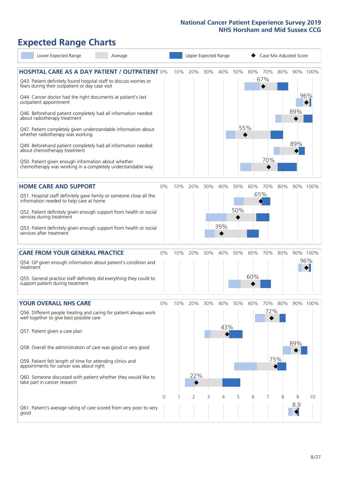# **Expected Range Charts**

|           | Lower Expected Range                                                                       | Average                                                                                                                                                                                     |          |     | Upper Expected Range |     |     |     |     | Case Mix Adjusted Score |     |     |                 |
|-----------|--------------------------------------------------------------------------------------------|---------------------------------------------------------------------------------------------------------------------------------------------------------------------------------------------|----------|-----|----------------------|-----|-----|-----|-----|-------------------------|-----|-----|-----------------|
|           | fears during their outpatient or day case visit                                            | <b>HOSPITAL CARE AS A DAY PATIENT / OUTPATIENT 0%</b><br>Q43. Patient definitely found hospital staff to discuss worries or<br>Q44. Cancer doctor had the right documents at patient's last |          | 10% | 20%                  | 30% | 40% | 50% |     | 60% 70%<br>67%          | 80% |     | 90% 100%<br>96% |
|           | outpatient appointment<br>about radiotherapy treatment<br>whether radiotherapy was working | Q46. Beforehand patient completely had all information needed<br>Q47. Patient completely given understandable information about                                                             |          |     |                      |     |     |     | 55% |                         |     | 89% |                 |
|           | about chemotherapy treatment                                                               | Q49. Beforehand patient completely had all information needed                                                                                                                               |          |     |                      |     |     |     |     |                         |     | 89% |                 |
|           | Q50. Patient given enough information about whether                                        | chemotherapy was working in a completely understandable way                                                                                                                                 |          |     |                      |     |     |     |     | 70%                     |     |     |                 |
|           | <b>HOME CARE AND SUPPORT</b>                                                               |                                                                                                                                                                                             | 0%       | 10% | 20%                  | 30% | 40% | 50% | 60% | 70%                     | 80% |     | 90% 100%        |
|           | information needed to help care at home                                                    | Q51. Hospital staff definitely gave family or someone close all the                                                                                                                         |          |     |                      |     |     |     |     | 65%                     |     |     |                 |
|           | services during treatment                                                                  | Q52. Patient definitely given enough support from health or social                                                                                                                          |          |     |                      |     |     | 50% |     |                         |     |     |                 |
|           | services after treatment                                                                   | Q53. Patient definitely given enough support from health or social                                                                                                                          |          |     |                      |     | 39% |     |     |                         |     |     |                 |
|           | <b>CARE FROM YOUR GENERAL PRACTICE</b>                                                     |                                                                                                                                                                                             | 0%       | 10% | 20%                  | 30% | 40% | 50% | 60% | 70%                     | 80% |     | 90% 100%        |
| treatment |                                                                                            | Q54. GP given enough information about patient's condition and                                                                                                                              |          |     |                      |     |     |     |     |                         |     |     | 96%             |
|           | support patient during treatment                                                           | Q55. General practice staff definitely did everything they could to                                                                                                                         |          |     |                      |     |     |     | 60% |                         |     |     |                 |
|           | <b>YOUR OVERALL NHS CARE</b>                                                               |                                                                                                                                                                                             | $0\%$    | 10% | 20%                  | 30% | 40% | 50% | 60% | 70%                     | 80% |     | 90% 100%        |
|           | well together to give best possible care                                                   | Q56. Different people treating and caring for patient always work                                                                                                                           |          |     |                      |     | 43% |     |     | 72%                     |     |     |                 |
|           | Q57. Patient given a care plan                                                             |                                                                                                                                                                                             |          |     |                      |     |     |     |     |                         |     | 89% |                 |
|           | Q59. Patient felt length of time for attending clinics and                                 | Q58. Overall the administration of care was good or very good                                                                                                                               |          |     |                      |     |     |     |     |                         | 75% |     |                 |
|           | appointments for cancer was about right                                                    |                                                                                                                                                                                             |          |     | 22%                  |     |     |     |     |                         |     |     |                 |
|           | take part in cancer research                                                               | Q60. Someone discussed with patient whether they would like to                                                                                                                              |          |     |                      |     |     |     |     |                         |     |     |                 |
|           |                                                                                            |                                                                                                                                                                                             | $\Omega$ | -1  | $\overline{2}$       | 3   | 4   | 5   | 6   | 7                       | 8   | 9   | 10              |
| good      |                                                                                            | Q61. Patient's average rating of care scored from very poor to very                                                                                                                         |          |     |                      |     |     |     |     |                         |     | 8.9 |                 |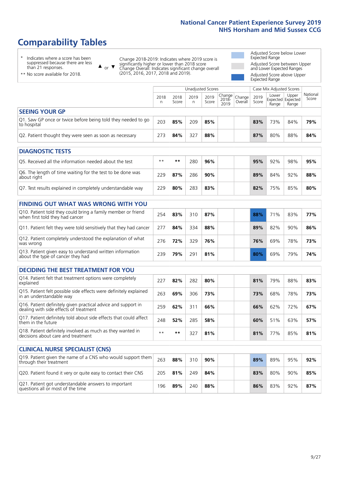# **Comparability Tables**

\* Indicates where a score has been suppressed because there are less than 21 responses.

\*\* No score available for 2018.

 $\triangle$  or  $\nabla$ 

Change 2018-2019: Indicates where 2019 score is significantly higher or lower than 2018 score Change Overall: Indicates significant change overall (2015, 2016, 2017, 2018 and 2019).

Adjusted Score below Lower Expected Range Adjusted Score between Upper and Lower Expected Ranges Adjusted Score above Upper Expected Range

|                                                                             | Unadjusted Scores<br>Case Mix Adjusted Scores |               |           |               |                                                  |         |               |                |                                     |                   |
|-----------------------------------------------------------------------------|-----------------------------------------------|---------------|-----------|---------------|--------------------------------------------------|---------|---------------|----------------|-------------------------------------|-------------------|
|                                                                             | 2018<br>n                                     | 2018<br>Score | 2019<br>n | 2019<br>Score | $\sqrt{(\text{Change})}$ Change<br>2018-<br>2019 | Overall | 2019<br>Score | Lower<br>Range | Upper<br>Expected Expected<br>Range | National<br>Score |
| <b>SEEING YOUR GP</b>                                                       |                                               |               |           |               |                                                  |         |               |                |                                     |                   |
| Q1. Saw GP once or twice before being told they needed to go<br>to hospital | 203                                           | 85%           | 209       | 85%           |                                                  |         | 83%           | 73%            | 84%                                 | 79%               |
| Q2. Patient thought they were seen as soon as necessary                     | 273                                           | 84%           | 327       | 88%           |                                                  |         | 87%           | 80%            | 88%                                 | 84%               |
| <b>DIAGNOSTIC TESTS</b>                                                     |                                               |               |           |               |                                                  |         |               |                |                                     |                   |

| ----------------                                                          |      |     |     |     |  |  |     |     |     |     |  |  |
|---------------------------------------------------------------------------|------|-----|-----|-----|--|--|-----|-----|-----|-----|--|--|
| Q5. Received all the information needed about the test                    | $**$ | **  | 280 | 96% |  |  | 95% | 92% | 98% | 95% |  |  |
| Q6. The length of time waiting for the test to be done was<br>about right | 729  | 87% | 286 | 90% |  |  | 89% | 84% | 92% | 88% |  |  |
| Q7. Test results explained in completely understandable way               | 229  | 80% | 283 | 83% |  |  | 82% | 75% | 85% | 80% |  |  |

| <b>FINDING OUT WHAT WAS WRONG WITH YOU</b>                                                      |     |     |     |     |     |     |     |     |
|-------------------------------------------------------------------------------------------------|-----|-----|-----|-----|-----|-----|-----|-----|
| Q10. Patient told they could bring a family member or friend<br>when first told they had cancer | 254 | 83% | 310 | 87% | 88% | 71% | 83% | 77% |
| Q11. Patient felt they were told sensitively that they had cancer                               | 277 | 84% | 334 | 88% | 89% | 82% | 90% | 86% |
| Q12. Patient completely understood the explanation of what<br>was wrong                         | 276 | 72% | 329 | 76% | 76% | 69% | 78% | 73% |
| Q13. Patient given easy to understand written information<br>about the type of cancer they had  | 239 | 79% | 291 | 81% | 80% | 69% | 79% | 74% |

| <b>DECIDING THE BEST TREATMENT FOR YOU</b>                                                              |      |     |     |     |     |                 |     |     |
|---------------------------------------------------------------------------------------------------------|------|-----|-----|-----|-----|-----------------|-----|-----|
| Q14. Patient felt that treatment options were completely<br>explained                                   | 227  | 82% | 282 | 80% | 81% | 79%             | 88% | 83% |
| Q15. Patient felt possible side effects were definitely explained<br>in an understandable way           | 263  | 69% | 306 | 73% | 73% | 68%             | 78% | 73% |
| Q16. Patient definitely given practical advice and support in<br>dealing with side effects of treatment | 259  | 62% | 311 | 66% | 66% | 62%             | 72% | 67% |
| Q17. Patient definitely told about side effects that could affect<br>them in the future                 | 248  | 52% | 285 | 58% | 60% | 51%             | 63% | 57% |
| Q18. Patient definitely involved as much as they wanted in<br>decisions about care and treatment        | $**$ | **  | 327 | 81% | 81% | 77 <sub>%</sub> | 85% | 81% |

| <b>CLINICAL NURSE SPECIALIST (CNS)</b>                                                    |     |     |     |     |     |     |     |     |
|-------------------------------------------------------------------------------------------|-----|-----|-----|-----|-----|-----|-----|-----|
| [Q19] Patient given the name of a CNS who would support them<br>through their treatment   | 263 | 88% | 310 | 90% | 89% | 89% | 95% | 92% |
| Q20. Patient found it very or quite easy to contact their CNS                             | 205 | 81% | 249 | 84% | 83% | 80% | 90% | 85% |
| Q21. Patient got understandable answers to important<br>questions all or most of the time | 196 | 89% | 240 | 88% | 86% | 83% | 92% | 87% |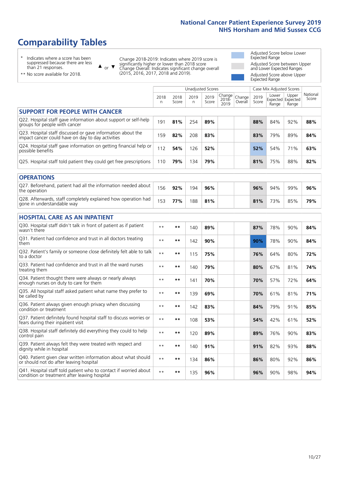# **Comparability Tables**

\* Indicates where a score has been suppressed because there are less than 21 responses.

\*\* No score available for 2018.

 $\triangle$  or  $\nabla$ 

Change 2018-2019: Indicates where 2019 score is significantly higher or lower than 2018 score Change Overall: Indicates significant change overall (2015, 2016, 2017, 2018 and 2019).

Adjusted Score below Lower Expected Range Adjusted Score between Upper and Lower Expected Ranges Adjusted Score above Upper Expected Range

|                                                                                                                   |              |               |           | <b>Unadjusted Scores</b> |                         |                   |               | Case Mix Adjusted Scores            |                |                   |
|-------------------------------------------------------------------------------------------------------------------|--------------|---------------|-----------|--------------------------|-------------------------|-------------------|---------------|-------------------------------------|----------------|-------------------|
|                                                                                                                   | 2018<br>n    | 2018<br>Score | 2019<br>n | 2019<br>Score            | Change<br>2018-<br>2019 | Change<br>Overall | 2019<br>Score | Lower<br>Expected Expected<br>Range | Upper<br>Range | National<br>Score |
| <b>SUPPORT FOR PEOPLE WITH CANCER</b>                                                                             |              |               |           |                          |                         |                   |               |                                     |                |                   |
| Q22. Hospital staff gave information about support or self-help<br>groups for people with cancer                  | 191          | 81%           | 254       | 89%                      |                         |                   | 88%           | 84%                                 | 92%            | 88%               |
| Q23. Hospital staff discussed or gave information about the<br>impact cancer could have on day to day activities  | 159          | 82%           | 208       | 83%                      |                         |                   | 83%           | 79%                                 | 89%            | 84%               |
| Q24. Hospital staff gave information on getting financial help or<br>possible benefits                            | 112          | 54%           | 126       | 52%                      |                         |                   | 52%           | 54%                                 | 71%            | 63%               |
| Q25. Hospital staff told patient they could get free prescriptions                                                | 110          | 79%           | 134       | 79%                      |                         |                   | 81%           | 75%                                 | 88%            | 82%               |
| <b>OPERATIONS</b>                                                                                                 |              |               |           |                          |                         |                   |               |                                     |                |                   |
| Q27. Beforehand, patient had all the information needed about<br>the operation                                    | 156          | 92%           | 194       | 96%                      |                         |                   | 96%           | 94%                                 | 99%            | 96%               |
| Q28. Afterwards, staff completely explained how operation had<br>gone in understandable way                       | 153          | 77%           | 188       | 81%                      |                         |                   | 81%           | 73%                                 | 85%            | 79%               |
| <b>HOSPITAL CARE AS AN INPATIENT</b>                                                                              |              |               |           |                          |                         |                   |               |                                     |                |                   |
| Q30. Hospital staff didn't talk in front of patient as if patient<br>wasn't there                                 | $\star\star$ | **            | 140       | 89%                      |                         |                   | 87%           | 78%                                 | 90%            | 84%               |
| Q31. Patient had confidence and trust in all doctors treating<br>them                                             | $\star\star$ | **            | 142       | 90%                      |                         |                   | 90%           | 78%                                 | 90%            | 84%               |
| Q32. Patient's family or someone close definitely felt able to talk<br>to a doctor                                | $* *$        | **            | 115       | 75%                      |                         |                   | 76%           | 64%                                 | 80%            | 72%               |
| Q33. Patient had confidence and trust in all the ward nurses<br>treating them                                     | $**$         | **            | 140       | 79%                      |                         |                   | 80%           | 67%                                 | 81%            | 74%               |
| Q34. Patient thought there were always or nearly always<br>enough nurses on duty to care for them                 | $* *$        | **            | 141       | 70%                      |                         |                   | 70%           | 57%                                 | 72%            | 64%               |
| Q35. All hospital staff asked patient what name they prefer to<br>be called by                                    | $**$         | **            | 139       | 69%                      |                         |                   | 70%           | 61%                                 | 81%            | 71%               |
| Q36. Patient always given enough privacy when discussing<br>condition or treatment                                | $* *$        | **            | 142       | 83%                      |                         |                   | 84%           | 79%                                 | 91%            | 85%               |
| Q37. Patient definitely found hospital staff to discuss worries or<br>fears during their inpatient visit          | $**$         | **            | 108       | 53%                      |                         |                   | 54%           | 42%                                 | 61%            | 52%               |
| Q38. Hospital staff definitely did everything they could to help<br>control pain                                  | $\star\star$ | $***$         | 120       | 89%                      |                         |                   | 89%           | 76%                                 | 90%            | 83%               |
| Q39. Patient always felt they were treated with respect and<br>dignity while in hospital                          | $\star\star$ | **            | 140       | 91%                      |                         |                   | 91%           | 82%                                 | 93%            | 88%               |
| Q40. Patient given clear written information about what should<br>or should not do after leaving hospital         | $**$         | **            | 134       | 86%                      |                         |                   | 86%           | 80%                                 | 92%            | 86%               |
| Q41. Hospital staff told patient who to contact if worried about<br>condition or treatment after leaving hospital | $**$         | **            | 135       | 96%                      |                         |                   | 96%           | 90%                                 | 98%            | 94%               |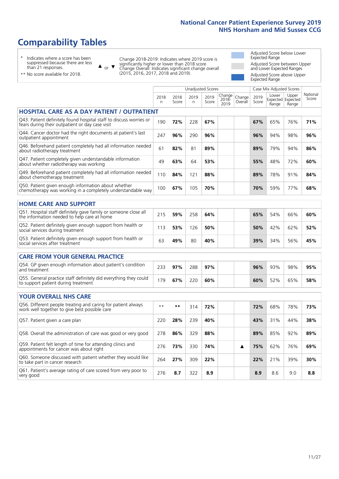# **Comparability Tables**

\* Indicates where a score has been suppressed because there are less than 21 responses.

\*\* No score available for 2018.

 $\triangle$  or  $\nabla$ 

Change 2018-2019: Indicates where 2019 score is significantly higher or lower than 2018 score Change Overall: Indicates significant change overall (2015, 2016, 2017, 2018 and 2019).

Adjusted Score below Lower Expected Range Adjusted Score between Upper and Lower Expected Ranges Adjusted Score above Upper Expected Range

|                                                                                                                       |              |               |            | <b>Unadjusted Scores</b> |                         |                   |               | Case Mix Adjusted Scores            |                |                   |
|-----------------------------------------------------------------------------------------------------------------------|--------------|---------------|------------|--------------------------|-------------------------|-------------------|---------------|-------------------------------------|----------------|-------------------|
|                                                                                                                       | 2018<br>n    | 2018<br>Score | 2019<br>n. | 2019<br>Score            | Change<br>2018-<br>2019 | Change<br>Overall | 2019<br>Score | Lower<br>Expected Expected<br>Range | Upper<br>Range | National<br>Score |
| <b>HOSPITAL CARE AS A DAY PATIENT / OUTPATIENT</b>                                                                    |              |               |            |                          |                         |                   |               |                                     |                |                   |
| Q43. Patient definitely found hospital staff to discuss worries or<br>fears during their outpatient or day case visit | 190          | 72%           | 228        | 67%                      |                         |                   | 67%           | 65%                                 | 76%            | 71%               |
| Q44. Cancer doctor had the right documents at patient's last<br>outpatient appointment                                | 247          | 96%           | 290        | 96%                      |                         |                   | 96%           | 94%                                 | 98%            | 96%               |
| Q46. Beforehand patient completely had all information needed<br>about radiotherapy treatment                         | 61           | 82%           | 81         | 89%                      |                         |                   | 89%           | 79%                                 | 94%            | 86%               |
| Q47. Patient completely given understandable information<br>about whether radiotherapy was working                    | 49           | 63%           | 64         | 53%                      |                         |                   | 55%           | 48%                                 | 72%            | 60%               |
| Q49. Beforehand patient completely had all information needed<br>about chemotherapy treatment                         | 110          | 84%           | 121        | 88%                      |                         |                   | 89%           | 78%                                 | 91%            | 84%               |
| Q50. Patient given enough information about whether<br>chemotherapy was working in a completely understandable way    | 100          | 67%           | 105        | 70%                      |                         |                   | 70%           | 59%                                 | 77%            | 68%               |
| <b>HOME CARE AND SUPPORT</b>                                                                                          |              |               |            |                          |                         |                   |               |                                     |                |                   |
| Q51. Hospital staff definitely gave family or someone close all<br>the information needed to help care at home        | 215          | 59%           | 258        | 64%                      |                         |                   | 65%           | 54%                                 | 66%            | 60%               |
| Q52. Patient definitely given enough support from health or<br>social services during treatment                       | 113          | 53%           | 126        | 50%                      |                         |                   | 50%           | 42%                                 | 62%            | 52%               |
| Q53. Patient definitely given enough support from health or<br>social services after treatment                        | 63           | 49%           | 80         | 40%                      |                         |                   | 39%           | 34%                                 | 56%            | 45%               |
| CARE FROM YOUR GENERAL PRACTICE                                                                                       |              |               |            |                          |                         |                   |               |                                     |                |                   |
| Q54. GP given enough information about patient's condition<br>and treatment                                           | 233          | 97%           | 288        | 97%                      |                         |                   | 96%           | 93%                                 | 98%            | 95%               |
| Q55. General practice staff definitely did everything they could<br>to support patient during treatment               | 179          | 67%           | 220        | 60%                      |                         |                   | 60%           | 52%                                 | 65%            | 58%               |
| <b>YOUR OVERALL NHS CARE</b>                                                                                          |              |               |            |                          |                         |                   |               |                                     |                |                   |
| Q56. Different people treating and caring for patient always<br>work well together to give best possible care         | $\star\star$ | $\star\star$  | 314        | 72%                      |                         |                   | 72%           | 68%                                 | 78%            | 73%               |
| Q57. Patient given a care plan                                                                                        | 220          | 28%           | 239        | 40%                      |                         |                   | 43%           | 31%                                 | 44%            | 38%               |
| Q58. Overall the administration of care was good or very good                                                         | 278          | 86%           | 329        | 88%                      |                         |                   | 89%           | 85%                                 | 92%            | 89%               |
| Q59. Patient felt length of time for attending clinics and<br>appointments for cancer was about right                 | 276          | 73%           | 330        | 74%                      |                         | ▲                 | 75%           | 62%                                 | 76%            | 69%               |
| Q60. Someone discussed with patient whether they would like<br>to take part in cancer research                        | 264          | 27%           | 309        | 22%                      |                         |                   | 22%           | 21%                                 | 39%            | 30%               |
| Q61. Patient's average rating of care scored from very poor to<br>very good                                           | 276          | 8.7           | 322        | 8.9                      |                         |                   | 8.9           | 8.6                                 | 9.0            | 8.8               |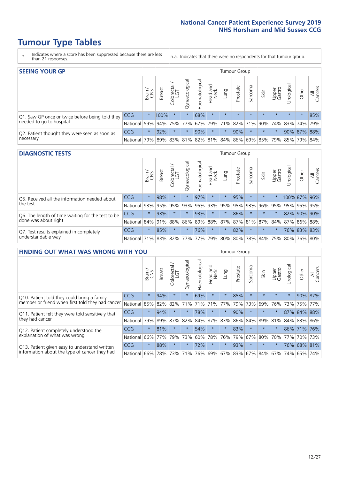- \* Indicates where a score has been suppressed because there are less than 21 responses.
- n.a. Indicates that there were no respondents for that tumour group.

| <b>SEEING YOUR GP</b>                           |            |          |               |                   |                    |                |                  |                 | Tumour Group |         |                                                     |                 |                |             |                |
|-------------------------------------------------|------------|----------|---------------|-------------------|--------------------|----------------|------------------|-----------------|--------------|---------|-----------------------------------------------------|-----------------|----------------|-------------|----------------|
|                                                 |            | Brain    | <b>Breast</b> | Colorectal<br>LGT | ᠊ᢛ<br>Gynaecologic | Haematological | Head and<br>Neck | Lung            | Prostate     | Sarcoma | Skin                                                | Upper<br>Gastro | –<br>Irologica | Other       | All<br>Cancers |
| Q1. Saw GP once or twice before being told they | <b>CCG</b> | $^\star$ | 100%          | $\star$           |                    | 68%            | $\star$          | $\star$         | $\star$      | $\star$ | $\star$                                             | $\star$         | $\star$        | $\star$     | 85%            |
| needed to go to hospital                        | National   | 59%      |               | 94% 75%           | 77%                |                |                  | 67% 79% 71% 82% |              |         | 71% 90% 74% 83% 74% 79%                             |                 |                |             |                |
| Q2. Patient thought they were seen as soon as   | <b>CCG</b> | $\star$  | 92%           |                   |                    | 90%            | $\star$          | $\star$         | 90%          | $\star$ | $\star$                                             | $\star$         |                | 90% 87% 88% |                |
| necessary                                       | National   | 79%      |               |                   |                    |                |                  |                 |              |         | 89% 83% 81% 82% 81% 84% 86% 69% 85% 79% 85% 79% 84% |                 |                |             |                |

#### **DIAGNOSTIC TESTS** Tumour Group

|                                                   |                                                          | Brain<br>CNS | <b>Breast</b> | Colorectal<br>LGT | Gynaecological | Haematological | Head and<br>Neck | Lung    | Prostate | Sarcoma | Skin                        | Upper<br>Gastro | rological   | Other        | All<br>Cancers |
|---------------------------------------------------|----------------------------------------------------------|--------------|---------------|-------------------|----------------|----------------|------------------|---------|----------|---------|-----------------------------|-----------------|-------------|--------------|----------------|
| Q5. Received all the information needed about     | <b>CCG</b>                                               | $\star$      | 98%           |                   |                | 97%            | $\star$          | $\star$ | 95%      |         | $\star$                     |                 |             | 100% 87% 96% |                |
| the test                                          | National                                                 | 93%          | 95%           | 95%               | 93%            |                | 95% 93%          |         | 95% 95%  | 93%     | 96%                         | 95%             |             | 95% 95% 95%  |                |
| Q6. The length of time waiting for the test to be | CCG                                                      | $\star$      | 93%           |                   |                | 93%            | $\star$          | $\star$ | 86%      | $\star$ | $\star$                     | $\star$         | 82%         |              | 90% 90%        |
| done was about right                              | National I                                               |              | 84% 91% 88%   |                   | 86%            |                |                  |         |          |         | 89% 88% 87% 87% 81% 87% 84% |                 | 87% 86% 88% |              |                |
| Q7. Test results explained in completely          | <b>CCG</b>                                               | $\star$      | 85%           |                   |                | 76%            | $\star$          | $\star$ | 82%      | $\star$ | $\star$                     |                 |             | 76% 83% 83%  |                |
| understandable way                                | National 71% 83% 82% 77% 77% 79% 80% 80% 78% 84% 75% 80% |              |               |                   |                |                |                  |         |          |         |                             |                 |             |              | 76% 80%        |

| <b>FINDING OUT WHAT WAS WRONG WITH YOU</b>        |          |         |               |                        |                |               |                        |         | Tumour Group |         |         |                 |           |         |                |
|---------------------------------------------------|----------|---------|---------------|------------------------|----------------|---------------|------------------------|---------|--------------|---------|---------|-----------------|-----------|---------|----------------|
|                                                   |          | Brain   | <b>Breast</b> | olorectal.<br>LGT<br>Ū | Gynaecological | Haematologica | ad and<br>Neck<br>Head | Lung    | Prostate     | Sarcoma | Skin    | Upper<br>Gastro | rological | Other   | All<br>Cancers |
| Q10. Patient told they could bring a family       | CCG      | $\star$ | 94%           | $\star$                | $\star$        | 69%           | $\star$                | $\star$ | 85%          | $\star$ | $\star$ | $\star$         | $\star$   | 90%     | 87%            |
| member or friend when first told they had cancer  | National | 85%     | 82%           | 82%                    | 71%            | 71%           | 71%                    | 77%     | 79%          | 73%     | 69%     | 76%             | 73%       | 75%     | 77%            |
| Q11. Patient felt they were told sensitively that | CCG      | $\star$ | 94%           | $\star$                | $\star$        | 78%           | $^\star$               | $\star$ | 90%          | $\star$ | $\star$ | $\star$         | 87%       | 84%     | 88%            |
| they had cancer                                   | National | 79%     | 89% 87%       |                        | 82%            |               | 84% 87%                | 83%     | 86%          | 84%     |         | 89% 81%         |           | 84% 83% | 86%            |
| Q12. Patient completely understood the            | CCG      | $\star$ | 81%           |                        |                | 54%           | $\star$                | $\star$ | 83%          | $\star$ | $\star$ |                 |           | 86% 71% | 76%            |
| explanation of what was wrong                     | National | 66%     | 77%           | 79%                    | 73%            | 60%           | 78%                    | 76%     | 79%          | 67%     | 80%     | 70%             | 77%       | 70%     | 73%            |
| Q13. Patient given easy to understand written     | CCG      | $\star$ | 88%           | $\star$                | $\star$        | 72%           | $\star$                | $\star$ | 93%          | $\ast$  | $\star$ | $\star$         | 76%       | 68%     | 81%            |
| information about the type of cancer they had     | National | 66%     | 78%           | 73%                    | 71%            | 76%           | 69%                    | 67% 83% |              | 67%     | 84%     | 67%             | 74%       | 65%     | 74%            |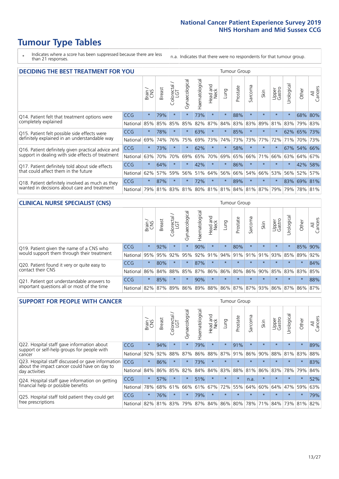\* Indicates where a score has been suppressed because there are less than 21 responses.

n.a. Indicates that there were no respondents for that tumour group.

| <b>DECIDING THE BEST TREATMENT FOR YOU</b>         |            |         |               |                             |                |                |                         |          | <b>Tumour Group</b> |         |                                     |                 |            |         |                |
|----------------------------------------------------|------------|---------|---------------|-----------------------------|----------------|----------------|-------------------------|----------|---------------------|---------|-------------------------------------|-----------------|------------|---------|----------------|
|                                                    |            | Brain   | <b>Breast</b> | olorectal.<br>LGT<br>$\cup$ | Gynaecological | Haematological | ead and<br>Neck<br>Head | Lung     | Prostate            | Sarcoma | Skin                                | Upper<br>Gastro | Jrological | Other   | All<br>Cancers |
| Q14. Patient felt that treatment options were      | CCG        | $\star$ | 79%           | $\star$                     | $\star$        | 73%            | $\star$                 | $\star$  | 88%                 | $\star$ | $\star$                             | $\star$         | $\star$    | 68%     | 80%            |
| completely explained                               | National   | 85%     | 85%           | 85%                         | 85%            | 82%            | 87%                     | 84%      | 83%                 | 83%     | 89%                                 | 81%             | 83%        | 79%     | 83%            |
| Q15. Patient felt possible side effects were       | CCG        | $\star$ | 78%           |                             | $\star$        | 63%            | $\ast$                  | $\star$  | 85%                 | $\star$ |                                     | $\star$         |            | 62% 65% | 73%            |
| definitely explained in an understandable way      | National   | 69%     | 74%           | 76%                         | 75%            | 69%            | 73%                     | 74%      | 73%                 | 73%     | 77%                                 | 72%             | 71%        | 70%     | 73%            |
| Q16. Patient definitely given practical advice and | <b>CCG</b> | $\star$ | 73%           |                             | $\star$        | 62%            | $\star$                 | $\star$  | 58%                 | $\star$ | $\star$                             | $\star$         |            | 67% 54% | 66%            |
| support in dealing with side effects of treatment  | National   | 63%     | 70%           | 70%                         | 69%            | 65%            | 70%                     | 69%      | 65%                 | 66%     | 71%                                 | 66%             | 63%        | 64%     | 67%            |
| Q17. Patient definitely told about side effects    | CCG        | $\star$ | 64%           |                             | $\star$        | 42%            | $\star$                 | $\star$  | 86%                 | $\star$ | $\star$                             | $\star$         | $^\star$   | 42%     | 58%            |
| that could affect them in the future               | National   | 62%     | 57%           | 59%                         | 56%            | 51%            | 64%                     | 56%      | 66%                 | 54%     | 66%                                 | 53%             | 56%        | 52%     | 57%            |
| Q18. Patient definitely involved as much as they   | CCG        | $\star$ | 87%           | $\star$                     | $\star$        | 72%            | $\star$                 | $^\star$ | 89%                 | $\star$ | $\star$                             | $\star$         | 83%        | 69% 81% |                |
| wanted in decisions about care and treatment       | National   | 79%     |               |                             |                |                |                         |          |                     |         | 81% 83% 81% 80% 81% 81% 84% 81% 87% | 79%             | 79%        | 78% 81% |                |

#### **CLINICAL NURSE SPECIALIST (CNS)** Tumour Group

|                                                            |                                                                  | Brain<br>CNS | <b>Breast</b>   | Colorectal<br>LGT | $\sigma$<br>Gynaecologic | ক<br>Ü<br>aematologi<br>Ĩ | Head and<br>Neck | Lung    | Prostate | Sarcoma | Skin    | Upper<br>Gastro                     | $\sigma$<br>rologica | Other   | All<br>Cancers |
|------------------------------------------------------------|------------------------------------------------------------------|--------------|-----------------|-------------------|--------------------------|---------------------------|------------------|---------|----------|---------|---------|-------------------------------------|----------------------|---------|----------------|
| Q19. Patient given the name of a CNS who                   | <b>CCG</b>                                                       | $\star$      | 92%             |                   |                          | 90%                       | $\star$          |         | 80%      | $\star$ | $\star$ | $\star$                             |                      |         | 85% 90%        |
| would support them through their treatment                 | National                                                         | 95%          | 95%             | 92%               | 95%                      | 92%                       | 91%              | 94% 91% |          |         | 91% 91% | 93%                                 | 85%                  | 89%     | 92%            |
| Q20. Patient found it very or quite easy to                | CCG                                                              | $\star$      | 80%             |                   | $\star$                  | 87%                       | $\star$          | $\star$ | $\star$  | $\star$ | $\star$ | $\star$                             | $\star$              | $\star$ | 84%            |
| contact their CNS                                          | National l                                                       |              | 86% 84% 88% 85% |                   |                          |                           |                  |         |          |         |         | 87% 86% 86% 80% 86% 90% 85% 83% 83% |                      |         | 85%            |
| . Patient got understandable answers to<br>O <sub>21</sub> | CCG                                                              | $\star$      | 85%             |                   | $\star$                  | 90%                       | $\star$          | $\star$ | $\star$  | $\star$ | $\star$ | $\star$                             | $\star$              | $\star$ | 88%            |
| important questions all or most of the time                | National 82% 87% 89% 86% 89% 88% 86% 87% 87% 93% 86% 87% 86% 87% |              |                 |                   |                          |                           |                  |         |          |         |         |                                     |                      |         |                |

| <b>SUPPORT FOR PEOPLE WITH CANCER</b>                                                             |                      |         |               |                             |                |                |                        |         | Tumour Group |                      |                         |                 |           |         |                |
|---------------------------------------------------------------------------------------------------|----------------------|---------|---------------|-----------------------------|----------------|----------------|------------------------|---------|--------------|----------------------|-------------------------|-----------------|-----------|---------|----------------|
|                                                                                                   |                      | Brain   | <b>Breast</b> | olorectal.<br>LGT<br>$\cup$ | Gynaecological | Haematological | ad and<br>Neck<br>Head | Lung    | Prostate     | arcoma<br>$\sqrt{ }$ | Skin                    | Upper<br>Gastro | Jrologica | Other   | All<br>Cancers |
| Q22. Hospital staff gave information about<br>support or self-help groups for people with         | CCG                  | $\star$ | 94%           | $\star$                     | $\star$        | 79%            | $\star$                | $\star$ | 91%          | $\star$              | $\star$                 | $\star$         | $\star$   | $\star$ | 89%            |
| cancer                                                                                            | National             | 92%     | 92%           | 88%                         | 87%            | 86%            | 88%                    | 87%     | 91%          | 86%                  | 90%                     | 88%             | 81%       | 83%     | 88%            |
| Q23. Hospital staff discussed or gave information<br>about the impact cancer could have on day to | CCG                  | $\star$ | 86%           | $\star$                     | $\star$        | 73%            | $\star$                | $\star$ | $\star$      |                      | $\star$                 | $\star$         | $\star$   | $\star$ | 83%            |
| day activities                                                                                    | National             | 84%     | 86%           | 85%                         | 82%            | 84%            | 84%                    | 83%     | 88%          | 81%                  | 86%                     | 83%             | 78%       | 79%     | 84%            |
| Q24. Hospital staff gave information on getting                                                   | CCG                  | $\star$ | 57%           | $\star$                     | $\star$        | 51%            | $\ast$                 | $\star$ | $\star$      | n.a.                 | $\star$                 | $\star$         | $\star$   | $\star$ | 52%            |
| financial help or possible benefits                                                               | National             | 78%     |               | 68% 61%                     | 66%            | 61%            | 67%                    | 72%     | 55%          | 64%                  | 60%                     | 64%             | 47%       | 59%     | 63%            |
| Q25. Hospital staff told patient they could get                                                   | <b>CCG</b>           | $\star$ | 76%           | $\star$                     | $\star$        | 79%            | $\star$                | $\star$ | $\star$      | $\star$              | $\star$                 | $\star$         | $\star$   | $\star$ | 79%            |
| tree prescriptions                                                                                | National 82% 81% 83% |         |               |                             | 79%            |                | 87% 84% 86% 80%        |         |              |                      | 78% 71% 84% 73% 81% 82% |                 |           |         |                |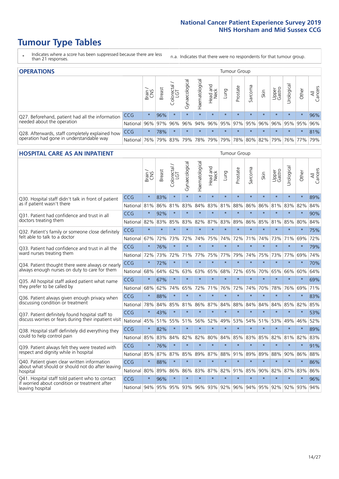- \* Indicates where a score has been suppressed because there are less than 21 responses.
- n.a. Indicates that there were no respondents for that tumour group.

| <b>OPERATIONS</b>                                |            |              |               |                   |                    |               |                  |             | Tumour Group |         |                                         |                 |            |         |                |
|--------------------------------------------------|------------|--------------|---------------|-------------------|--------------------|---------------|------------------|-------------|--------------|---------|-----------------------------------------|-----------------|------------|---------|----------------|
|                                                  |            | Brain<br>CNS | <b>Breast</b> | Colorectal<br>LGT | ᠊ᢛ<br>Gynaecologic | Haematologica | Head and<br>Neck | <b>Dung</b> | Prostate     | Sarcoma | Skin                                    | Upper<br>Gastro | Urological | Other   | All<br>Cancers |
| Q27. Beforehand, patient had all the information | <b>CCG</b> | $\star$      | 96%           |                   | $\star$            | $\star$       | $\star$          | $\star$     | $\star$      | $\star$ | $\star$                                 | $\star$         | $\star$    | $\star$ | 96%            |
| needed about the operation                       | National   | $96\%$       | 97%           | 96%               |                    |               |                  |             |              |         | 96% 94% 96% 95% 97% 95% 96% 96% 95% 95% |                 |            |         | 96%            |
| Q28. Afterwards, staff completely explained how  | CCG        | $\star$      | 78%           | $\star$           | $\star$            | $\star$       | $\star$          | $\star$     | $\star$      | $\star$ | $\star$                                 | $\star$         | $\star$    | $\star$ | 81%            |
| operation had gone in understandable way         | National   | 76%          |               | 79% 83%           |                    |               |                  |             |              |         | 79% 78% 79% 79% 78% 80% 82% 79% 76% 77% |                 |            |         | 79%            |

#### **HOSPITAL CARE AS AN INPATIENT** Tumour Group

|                                                                                                  |            | Brain   | Breast  | Colorectal /<br>LGT | Gynaecological | Haematological | Head and<br>Neck | Lung        | Prostate | Sarcoma | Skin    | Upper<br>Gastro | Urological | Other   | All<br>Cancers |
|--------------------------------------------------------------------------------------------------|------------|---------|---------|---------------------|----------------|----------------|------------------|-------------|----------|---------|---------|-----------------|------------|---------|----------------|
| Q30. Hospital staff didn't talk in front of patient                                              | CCG        | $\star$ | 83%     | $\star$             | $\star$        | $\star$        | $\star$          | $\star$     | $\star$  | $\star$ | $\star$ | $\star$         | $\star$    | $\star$ | 89%            |
| as if patient wasn't there                                                                       | National   | 81%     | 86%     | 81%                 | 83%            | 84%            | 83%              | 81%         | 88%      | 86%     | 86%     | 81%             | 83%        | 82%     | 84%            |
| Q31. Patient had confidence and trust in all                                                     | CCG        | $\star$ | 92%     | $\star$             | $\star$        | $\star$        | $\star$          | $\star$     | $\star$  | $\star$ | $\star$ | $\star$         | $\star$    | $\star$ | 90%            |
| doctors treating them                                                                            | National   | 82%     | 83%     | 85%                 | 83%            | 82%            |                  | 87% 83%     | 89%      | 86%     | 85%     | 81%             | 85%        | 80%     | 84%            |
| Q32. Patient's family or someone close definitely                                                | CCG        | $\star$ | $\star$ | $\star$             | $\star$        | $\star$        | $\star$          | $\star$     | $\star$  | $\star$ | $\star$ | $\star$         | $\star$    | $\star$ | 75%            |
| felt able to talk to a doctor                                                                    | National   | 67%     | 72%     | 73%                 | 72%            | 74%            | 75%              | 74%         | 72%      | 71%     | 74%     | 73%             | 71%        | 69%     | 72%            |
| Q33. Patient had confidence and trust in all the                                                 | CCG        | $\star$ | 76%     | $\star$             | $\star$        | $\star$        | $\star$          | $\star$     | $\star$  | $\star$ | $\star$ | $\star$         | $\star$    | $\star$ | 79%            |
| ward nurses treating them                                                                        | National   | 72%     | 73%     | 72%                 | 71%            | 77%            | 75%              | 77%         | 79%      | 74%     | 75%     | 73%             | 77%        | 69%     | 74%            |
| Q34. Patient thought there were always or nearly                                                 | CCG        | $\star$ | 72%     | $\star$             | $\star$        | $\star$        | $\star$          | $\star$     | $\star$  | $\star$ | $\star$ | $\star$         | $\star$    | $\star$ | 70%            |
| always enough nurses on duty to care for them                                                    | National   | 68%     | 64%     | 62%                 | 63%            | 63%            | 65%              | 68%         | 72%      | 65%     | 70%     | 65%             | 66%        | 60%     | 64%            |
| Q35. All hospital staff asked patient what name                                                  | CCG        | $\star$ | 67%     | $\star$             | $\star$        | $\star$        | $\star$          | $\star$     | $\star$  | $\star$ | $\star$ | $\star$         | $\star$    | $\star$ | 69%            |
| they prefer to be called by                                                                      | National   | 68%     | 62%     | 74%                 | 65%            | 72%            | 71%              | 76%         | 72%      | 74%     | 70%     | 78%             | 76%        | 69%     | 71%            |
| Q36. Patient always given enough privacy when                                                    | CCG        | $\star$ | 88%     | $\star$             | $\star$        | $\star$        | $\star$          | $\star$     | $\star$  | $\star$ | $\star$ | $\star$         | $\star$    | $\star$ | 83%            |
| discussing condition or treatment                                                                | National   | 78%     | 84%     | 85%                 | 81%            | 86%            | 87%              | 84%         | 88%      | 84%     | 84%     | 84%             | 85%        | 82%     | 85%            |
| Q37. Patient definitely found hospital staff to                                                  | <b>CCG</b> | $\star$ | 43%     | $\star$             | $\star$        | $\star$        | $\star$          | $\star$     | $\star$  | $\star$ | $\star$ | $\star$         | $\star$    | $\star$ | 53%            |
| discuss worries or fears during their inpatient visit                                            | National   | 45%     | 51%     | 55%                 | 51%            | 56%            | 52%              | 49%         | 53%      | 54%     | 51%     | 53%             | 49%        | 46%     | 52%            |
| Q38. Hospital staff definitely did everything they                                               | CCG        | $\star$ | 82%     | $\star$             | $\star$        | $\star$        | $\star$          | $\star$     | $\star$  | $\star$ | $\star$ | $\star$         | $\star$    | $\star$ | 89%            |
| could to help control pain                                                                       | National   | 85%     | 83%     | 84%                 | 82%            | 82%            | 80%              | 84%         | 85%      | 83%     | 85%     | 82%             | 81%        | 82%     | 83%            |
| Q39. Patient always felt they were treated with                                                  | CCG        | $\star$ | 76%     | $\star$             | $\star$        | $\star$        | $\star$          | $\star$     | $\star$  | $\star$ | $\star$ | $\star$         | $\star$    | $\star$ | 91%            |
| respect and dignity while in hospital                                                            | National   | 85%     | 87%     | 87%                 | 85%            | 89%            |                  | 87% 88%     | 91%      | 89%     | 89%     | 88%             | 90%        | 86%     | 88%            |
| Q40. Patient given clear written information<br>about what should or should not do after leaving | CCG        | $\star$ | 88%     | $\star$             | $\star$        | $\star$        | $\star$          | $\star$     | $\star$  | $\star$ | $\star$ | $\star$         | $\star$    | $\star$ | 86%            |
| hospital                                                                                         | National   | 80%     | 89%     | 86%                 | 86%            | 83%            |                  | 87% 82%     | 91%      | 85%     | 90%     | 82%             | 87%        | 83%     | 86%            |
| Q41. Hospital staff told patient who to contact<br>if worried about condition or treatment after | CCG        | $\star$ | 96%     | $\star$             | $\star$        | $\star$        | $\star$          | $\star$     | $\star$  | $\star$ | $\star$ | $\star$         | $\star$    | $\star$ | 96%            |
| leaving hospital                                                                                 | National   | 94%     | 95%     |                     | 95% 93%        |                |                  | 96% 93% 92% |          | 96% 94% |         | 95% 92%         | 92%        | 93%     | 94%            |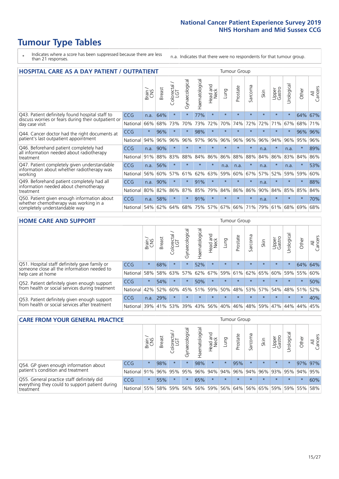# **Tumour Type Tables**

- \* Indicates where a score has been suppressed because there are less than 21 responses.
- n.a. Indicates that there were no respondents for that tumour group.

| <b>HOSPITAL CARE AS A DAY PATIENT / OUTPATIENT</b>                     |            |         |               |                                     |                |                |                        |         | <b>Tumour Group</b> |         |         |                 |            |         |                |  |  |
|------------------------------------------------------------------------|------------|---------|---------------|-------------------------------------|----------------|----------------|------------------------|---------|---------------------|---------|---------|-----------------|------------|---------|----------------|--|--|
|                                                                        |            | Brain   | <b>Breast</b> | $\frac{\text{Colored}}{\text{LGT}}$ | Gynaecological | Haematological | ad and<br>Neck<br>Head | Lung    | Prostate            | Sarcoma | Skin    | Upper<br>Gastro | Urological | Other   | All<br>Cancers |  |  |
| Q43. Patient definitely found hospital staff to                        | CCG        | n.a.    | 64%           | $\star$                             | $\star$        | 77%            | $\star$                | $\star$ | $\star$             | $\star$ | $\star$ | $\star$         | $\star$    | 64%     | 67%            |  |  |
| discuss worries or fears during their outpatient or<br>day case visit  | National   | 66%     | 68%           | 73%                                 | 70%            | 73%            | 72%                    | 70%     | 74%                 | 72%     | 72%     | 71%             | 67%        | 68%     | 71%            |  |  |
| Q44. Cancer doctor had the right documents at                          | <b>CCG</b> | $\star$ | 96%           | $\star$                             |                | 98%            | $\star$                | $\star$ | $\star$             | $\star$ |         | $\star$         | $\star$    | 96%     | 96%            |  |  |
| patient's last outpatient appointment                                  | National   | 94%     | 96%           | 96%                                 | 96%            | 97%            | 96%                    | 96%     | 96%                 | 96%     | 96%     | 94%             | 96%        | 95%     | 96%            |  |  |
| Q46. Beforehand patient completely had                                 | CCG        | n.a.    | 90%           | $\star$                             |                | $\star$        | $\star$                | $\star$ | $\star$             | $\star$ | n.a.    | $\star$         | n.a.       | $\star$ | 89%            |  |  |
| all information needed about radiotherapy<br>treatment                 | National   | 91%     | 88%           | 83%                                 | 88%            | 84%            | 86%                    | 86%     | 88%                 | 88%     | 84%     | 86%             | 83%        | 84%     | 86%            |  |  |
| Q47. Patient completely given understandable                           | <b>CCG</b> | n.a.    | 56%           | $\star$                             | $\star$        | $\star$        | $\star$                | n.a.    | n.a.                | $\star$ | n.a.    | $\star$         | n.a.       | $\star$ | 53%            |  |  |
| information about whether radiotherapy was<br>working                  | National   | 56%     | 60%           | 57%                                 | 61%            | 62%            | 63%                    | 59%     | 60%                 | 67%     | 57%     | 52%             | 59%        | 59%     | 60%            |  |  |
| Q49. Beforehand patient completely had all                             | CCG        | n.a.    | 90%           | $\star$                             | $\star$        | 91%            | $\star$                | $\star$ | $\star$             | $\star$ | n.a.    | $\star$         | $\star$    | $\ast$  | 88%            |  |  |
| information needed about chemotherapy<br>treatment                     | National   | 80%     | 82%           | 86%                                 | 87%            | 85%            | 79%                    | 84%     | 86%                 | 86%     | 90%     | 84%             | 85%        | 85%     | 84%            |  |  |
| Q50. Patient given enough information about                            | <b>CCG</b> | n.a.    | 58%           | $\star$                             | $\star$        | 91%            | $\star$                | $\star$ | $\star$             | $\star$ | n.a.    | $\star$         |            | $\star$ | 70%            |  |  |
| whether chemotherapy was working in a<br>completely understandable way |            | 54%     | 62%           | 64%                                 | 68%            | 75%            |                        | 57% 67% | 66%                 | 71%     | 79%     | 61%             | 68%        | 69%     | 68%            |  |  |

#### **HOME CARE AND SUPPORT** Tumour Group

|                                                                                                                   |            | Brain   | <b>Breast</b> | Colorectal<br>LGT | ᢛ<br>Gynaecologic | Haematological | ad and<br>Neck<br>Head | <b>Lung</b> | Prostate | Sarcoma | Skin    | Upper<br>Gastro | Urological | Other   | All<br>Cancers |
|-------------------------------------------------------------------------------------------------------------------|------------|---------|---------------|-------------------|-------------------|----------------|------------------------|-------------|----------|---------|---------|-----------------|------------|---------|----------------|
| Q51. Hospital staff definitely gave family or<br>someone close all the information needed to<br>help care at home | <b>CCG</b> | $\star$ | 68%           | $\star$           | $\star$           | 52%            | $\star$                | $\star$     | $\star$  | $\star$ | $\star$ | $\star$         | $\star$    | 64%     | 64%            |
|                                                                                                                   | National   | 58%     | 58%           | 63%               | 57%               | 62%            | 67%                    | 59%         | 61%      | 62%     | 65%     | 60%             | 59%        | 55%     | 60%            |
| Q52. Patient definitely given enough support<br>from health or social services during treatment                   | <b>CCG</b> | $\star$ | 54%           | $\star$           | $\star$           | 50%            | $\star$                | $\star$     | $\star$  |         |         | $\star$         | $\star$    | $\star$ | 50%            |
|                                                                                                                   | National   | 42%     | 52%           | 60%               |                   | 45% 51%        | 59%                    | 50%         | 48%      |         | 53% 57% | 54%             | 48% 51%    |         | 52%            |
| Q53. Patient definitely given enough support<br>from health or social services after treatment                    | <b>CCG</b> | n.a.    | 29%           |                   | $\star$           | $\star$        | $\star$                | $\star$     | $\star$  | $\star$ | $\star$ | $\star$         | $\star$    | $\star$ | 40%            |
|                                                                                                                   | National   | 39%     |               | 41% 53%           | 39%               | 43%            | 56%                    | 40%         | 46%      |         | 48% 59% | 47%             | 44%        | 44%     | 45%            |

| <b>CARE FROM YOUR GENERAL PRACTICE</b>                                                                     |              |         |               |                        |               |                |                                         | <b>Tumour Group</b> |          |         |                         |                 |               |         |                |
|------------------------------------------------------------------------------------------------------------|--------------|---------|---------------|------------------------|---------------|----------------|-----------------------------------------|---------------------|----------|---------|-------------------------|-----------------|---------------|---------|----------------|
|                                                                                                            |              | Brain,  | <b>Breast</b> | ー<br>Colorectal<br>LGT | Gynaecologica | Haematological | Head and<br>Neck                        | Lung                | Prostate | Sarcoma | Skin                    | Upper<br>Gastro | Φ<br>Urologic | Other   | All<br>Cancers |
| Q54. GP given enough information about<br>patient's condition and treatment                                | CCG          | $\star$ | 98%           | $\star$                | $\star$       | 98%            | $\star$                                 | $\star$             | 95%      | $\star$ | $\star$                 | $\star$         | $\star$       | 97% 97% |                |
|                                                                                                            | National 91% |         |               | 96% 95%                | 95%           |                | 96% 94% 94% 96%                         |                     |          |         | 94% 96% 93% 95% 94% 95% |                 |               |         |                |
| Q55. General practice staff definitely did<br>everything they could to support patient during<br>treatment | <b>CCG</b>   | $\star$ | 55%           | $\star$                |               | 65%            | $\star$                                 | $\star$             | $\star$  | $\star$ | $\star$                 | $\star$         | $\star$       | $\star$ | 60%            |
|                                                                                                            | National 55% |         |               | 58% 59%                | 56%           |                | 56% 59% 56% 64% 56% 65% 59% 59% 55% 58% |                     |          |         |                         |                 |               |         |                |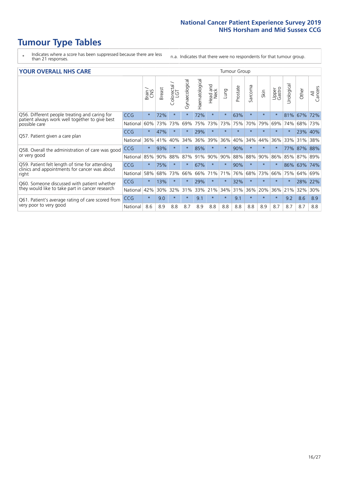- \* Indicates where a score has been suppressed because there are less than 21 responses.
- n.a. Indicates that there were no respondents for that tumour group.

| <b>YOUR OVERALL NHS CARE</b> |  |  |  |  |
|------------------------------|--|--|--|--|
|------------------------------|--|--|--|--|

| <b>YOUR OVERALL NHS CARE</b>                                    |            |         |               |                             |                |                |                  |         | <b>Tumour Group</b> |               |         |                 |           |       |                |  |  |
|-----------------------------------------------------------------|------------|---------|---------------|-----------------------------|----------------|----------------|------------------|---------|---------------------|---------------|---------|-----------------|-----------|-------|----------------|--|--|
|                                                                 |            | Brain   | <b>Breast</b> | olorectal.<br>LGT<br>$\cup$ | Gynaecological | Haematological | Head and<br>Neck | Lung    | Prostate            | arcoma<br>آرا | Skin    | Upper<br>Gastro | Urologica | Other | All<br>Cancers |  |  |
| Q56. Different people treating and caring for                   | <b>CCG</b> | $\star$ | 72%           | $\star$                     | $\star$        | 72%            | $\star$          | $\star$ | 63%                 | $\star$       | $\star$ |                 | 81%       | 67%   | 72%            |  |  |
| patient always work well together to give best<br>possible care | National   | 60%     | 73%           | 73%                         | 69%            | 75%            | 73%              | 73%     | 75%                 | 70%           | 79%     | 69%             | 74%       | 68%   | 73%            |  |  |
|                                                                 | <b>CCG</b> | $\star$ | 47%           | $\star$                     |                | 29%            | $\star$          | $\star$ | $\star$             | $\star$       | $\star$ | $\star$         |           | 23%   | 40%            |  |  |
| Q57. Patient given a care plan                                  | National   | 36%     | 41%           | 40%                         | 34%            | 36%            | 39%              | 36%     | 40%                 | 34%           | 44%     | 36%             | 33%       | 31%   | 38%            |  |  |
| Q58. Overall the administration of care was good                | <b>CCG</b> | $\star$ | 93%           | $\star$                     | $\star$        | 85%            | $\star$          | $\star$ | 90%                 | $\star$       | $\star$ |                 | 77%       | 87%   | 88%            |  |  |
| or very good                                                    | National   | 85%     | 90%           | 88%                         | 87%            | 91%            | 90%              | 90%     | 88%                 | 88%           | 90%     | 86%             | 85%       | 87%   | 89%            |  |  |
| Q59. Patient felt length of time for attending                  | <b>CCG</b> | $\star$ | 75%           | $\star$                     |                | 67%            | $\star$          | $\star$ | 90%                 | $\star$       | $\star$ |                 | 86%       | 63%   | 74%            |  |  |
| clinics and appointments for cancer was about<br>right          | National   | 58%     | 68%           | 73%                         | 66%            | 66%            | 71%              | 71%     | 76%                 | 68%           | 73%     | 66%             | 75%       | 64%   | 69%            |  |  |
| Q60. Someone discussed with patient whether                     | <b>CCG</b> | $\star$ | 13%           | $\star$                     | $\rightarrow$  | 29%            | $\star$          | $\star$ | 32%                 | $\star$       | $\star$ |                 |           | 28%   | 22%            |  |  |
| they would like to take part in cancer research                 | National   | 42%     | 30%           | 32%                         | 31%            | 33%            | 21%              | 34%     | 31%                 | 36%           | 20%     | 36%             | 21%       | 32%   | 30%            |  |  |
| Q61. Patient's average rating of care scored from               | <b>CCG</b> | $\star$ | 9.0           | $\star$                     | $\star$        | 9.1            | $\star$          | $\star$ | 9.1                 | $\star$       | $\star$ | $\star$         | 9.2       | 8.6   | 8.9            |  |  |
| very poor to very good                                          | National   | 8.6     | 8.9           | 8.8                         | 8.7            | 8.9            | 8.8              | 8.8     | 8.8                 | 8.8           | 8.9     | 8.7             | 8.7       | 8.7   | 8.8            |  |  |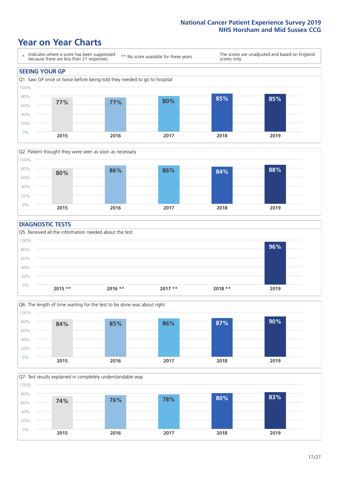### **Year on Year Charts**





#### **DIAGNOSTIC TESTS**





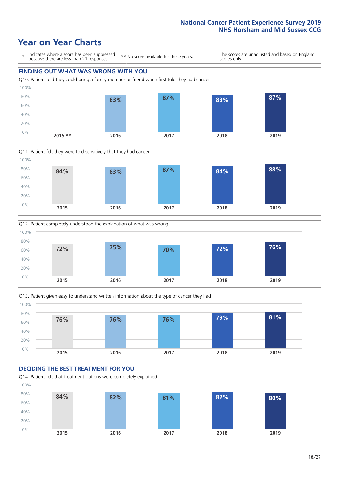### **Year on Year Charts**









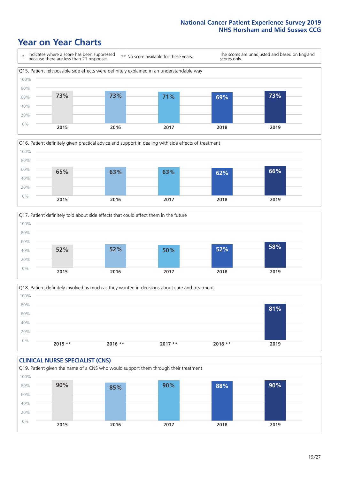### **Year on Year Charts**







Q18. Patient definitely involved as much as they wanted in decisions about care and treatment  $0%$ 20% 40% 60% 80% 100% **2015 \*\* 2016 \*\* 2017 \*\* 2018 \*\* 2019 81%**

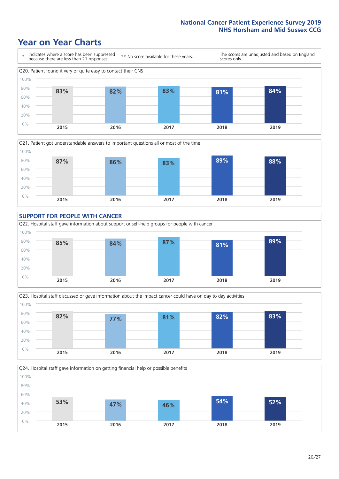### **Year on Year Charts**









Q24. Hospital staff gave information on getting financial help or possible benefits 0% 20% 40% 60% 80% 100% **2015 2016 2017 2018 2019 53% 47% 46% 54% 52%**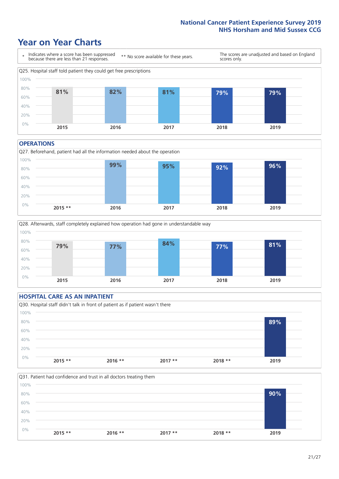### **Year on Year Charts**



#### **OPERATIONS**





#### **HOSPITAL CARE AS AN INPATIENT** Q30. Hospital staff didn't talk in front of patient as if patient wasn't there 0% 20% 40% 60% 80% 100% **2015 \*\* 2016 \*\* 2017 \*\* 2018 \*\* 2019 89%**

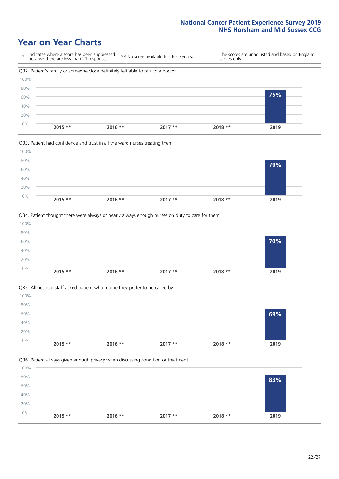### **Year on Year Charts**









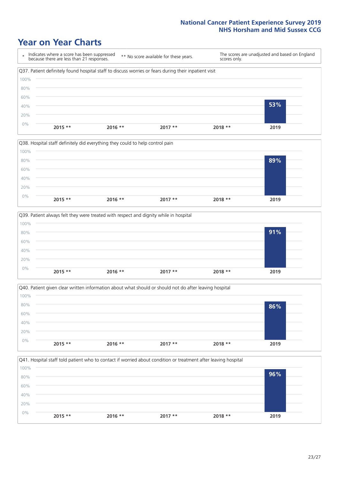### **Year on Year Charts**









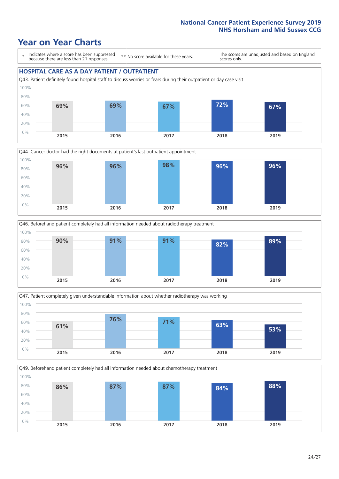### **Year on Year Charts**

\* Indicates where a score has been suppressed because there are less than 21 responses.

\*\* No score available for these years.

The scores are unadjusted and based on England scores only.

#### **HOSPITAL CARE AS A DAY PATIENT / OUTPATIENT**









Q49. Beforehand patient completely had all information needed about chemotherapy treatment 0% 20% 40% 60% 80% 100% **2015 2016 2017 2018 2019 86% 87% 87% 84% 88%**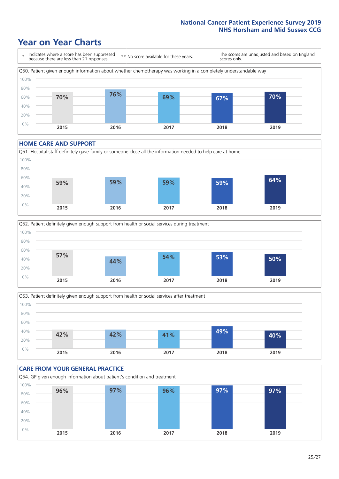### **Year on Year Charts**



#### **HOME CARE AND SUPPORT**







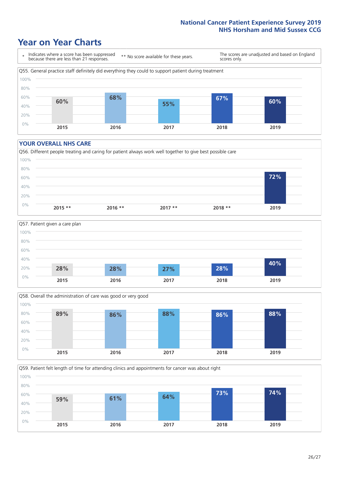### **Year on Year Charts**

\* Indicates where a score has been suppressed because there are less than 21 responses. \*\* No score available for these years. The scores are unadjusted and based on England scores only. Q55. General practice staff definitely did everything they could to support patient during treatment 0% 20% 40% 60% 80% 100% **2015 2016 2017 2018 2019 60% 68% 55% 67% 60%**

#### **YOUR OVERALL NHS CARE**







Q59. Patient felt length of time for attending clinics and appointments for cancer was about right